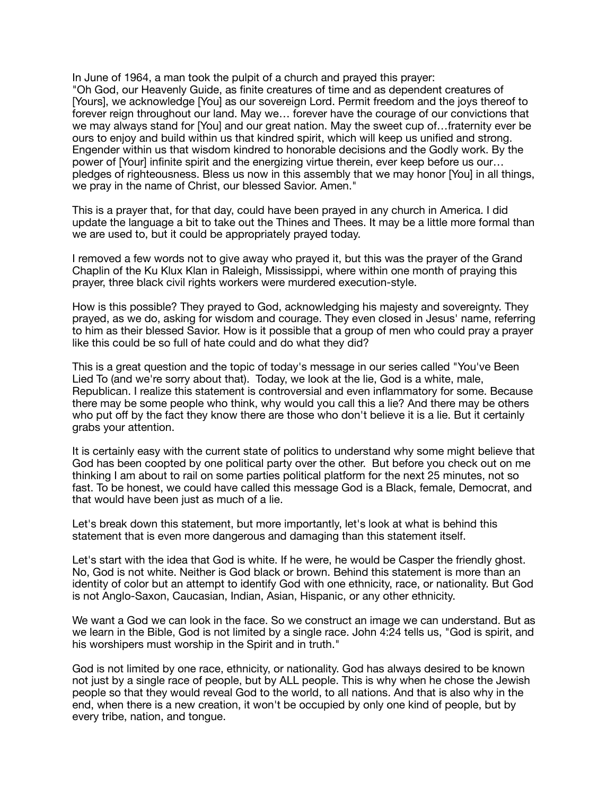In June of 1964, a man took the pulpit of a church and prayed this prayer: "Oh God, our Heavenly Guide, as finite creatures of time and as dependent creatures of [Yours], we acknowledge [You] as our sovereign Lord. Permit freedom and the joys thereof to forever reign throughout our land. May we… forever have the courage of our convictions that we may always stand for [You] and our great nation. May the sweet cup of…fraternity ever be ours to enjoy and build within us that kindred spirit, which will keep us unified and strong. Engender within us that wisdom kindred to honorable decisions and the Godly work. By the power of [Your] infinite spirit and the energizing virtue therein, ever keep before us our… pledges of righteousness. Bless us now in this assembly that we may honor [You] in all things, we pray in the name of Christ, our blessed Savior. Amen."

This is a prayer that, for that day, could have been prayed in any church in America. I did update the language a bit to take out the Thines and Thees. It may be a little more formal than we are used to, but it could be appropriately prayed today.

I removed a few words not to give away who prayed it, but this was the prayer of the Grand Chaplin of the Ku Klux Klan in Raleigh, Mississippi, where within one month of praying this prayer, three black civil rights workers were murdered execution-style.

How is this possible? They prayed to God, acknowledging his majesty and sovereignty. They prayed, as we do, asking for wisdom and courage. They even closed in Jesus' name, referring to him as their blessed Savior. How is it possible that a group of men who could pray a prayer like this could be so full of hate could and do what they did?

This is a great question and the topic of today's message in our series called "You've Been Lied To (and we're sorry about that). Today, we look at the lie, God is a white, male, Republican. I realize this statement is controversial and even inflammatory for some. Because there may be some people who think, why would you call this a lie? And there may be others who put off by the fact they know there are those who don't believe it is a lie. But it certainly grabs your attention.

It is certainly easy with the current state of politics to understand why some might believe that God has been coopted by one political party over the other. But before you check out on me thinking I am about to rail on some parties political platform for the next 25 minutes, not so fast. To be honest, we could have called this message God is a Black, female, Democrat, and that would have been just as much of a lie.

Let's break down this statement, but more importantly, let's look at what is behind this statement that is even more dangerous and damaging than this statement itself.

Let's start with the idea that God is white. If he were, he would be Casper the friendly ghost. No, God is not white. Neither is God black or brown. Behind this statement is more than an identity of color but an attempt to identify God with one ethnicity, race, or nationality. But God is not Anglo-Saxon, Caucasian, Indian, Asian, Hispanic, or any other ethnicity.

We want a God we can look in the face. So we construct an image we can understand. But as we learn in the Bible, God is not limited by a single race. John 4:24 tells us, "God is spirit, and his worshipers must worship in the Spirit and in truth."

God is not limited by one race, ethnicity, or nationality. God has always desired to be known not just by a single race of people, but by ALL people. This is why when he chose the Jewish people so that they would reveal God to the world, to all nations. And that is also why in the end, when there is a new creation, it won't be occupied by only one kind of people, but by every tribe, nation, and tongue.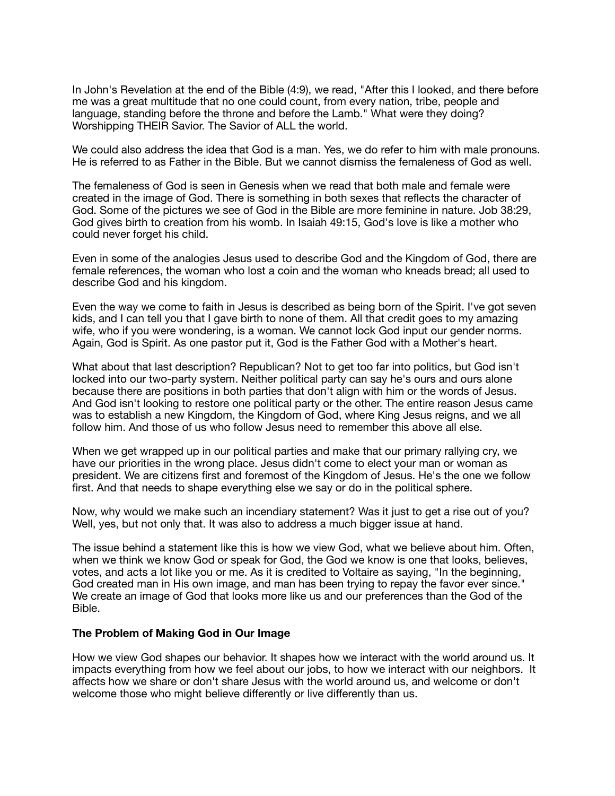In John's Revelation at the end of the Bible (4:9), we read, "After this I looked, and there before me was a great multitude that no one could count, from every nation, tribe, people and language, standing before the throne and before the Lamb." What were they doing? Worshipping THEIR Savior. The Savior of ALL the world.

We could also address the idea that God is a man. Yes, we do refer to him with male pronouns. He is referred to as Father in the Bible. But we cannot dismiss the femaleness of God as well.

The femaleness of God is seen in Genesis when we read that both male and female were created in the image of God. There is something in both sexes that reflects the character of God. Some of the pictures we see of God in the Bible are more feminine in nature. Job 38:29, God gives birth to creation from his womb. In Isaiah 49:15, God's love is like a mother who could never forget his child.

Even in some of the analogies Jesus used to describe God and the Kingdom of God, there are female references, the woman who lost a coin and the woman who kneads bread; all used to describe God and his kingdom.

Even the way we come to faith in Jesus is described as being born of the Spirit. I've got seven kids, and I can tell you that I gave birth to none of them. All that credit goes to my amazing wife, who if you were wondering, is a woman. We cannot lock God input our gender norms. Again, God is Spirit. As one pastor put it, God is the Father God with a Mother's heart.

What about that last description? Republican? Not to get too far into politics, but God isn't locked into our two-party system. Neither political party can say he's ours and ours alone because there are positions in both parties that don't align with him or the words of Jesus. And God isn't looking to restore one political party or the other. The entire reason Jesus came was to establish a new Kingdom, the Kingdom of God, where King Jesus reigns, and we all follow him. And those of us who follow Jesus need to remember this above all else.

When we get wrapped up in our political parties and make that our primary rallying cry, we have our priorities in the wrong place. Jesus didn't come to elect your man or woman as president. We are citizens first and foremost of the Kingdom of Jesus. He's the one we follow first. And that needs to shape everything else we say or do in the political sphere.

Now, why would we make such an incendiary statement? Was it just to get a rise out of you? Well, yes, but not only that. It was also to address a much bigger issue at hand.

The issue behind a statement like this is how we view God, what we believe about him. Often, when we think we know God or speak for God, the God we know is one that looks, believes, votes, and acts a lot like you or me. As it is credited to Voltaire as saying, "In the beginning, God created man in His own image, and man has been trying to repay the favor ever since." We create an image of God that looks more like us and our preferences than the God of the Bible.

## **The Problem of Making God in Our Image**

How we view God shapes our behavior. It shapes how we interact with the world around us. It impacts everything from how we feel about our jobs, to how we interact with our neighbors. It affects how we share or don't share Jesus with the world around us, and welcome or don't welcome those who might believe differently or live differently than us.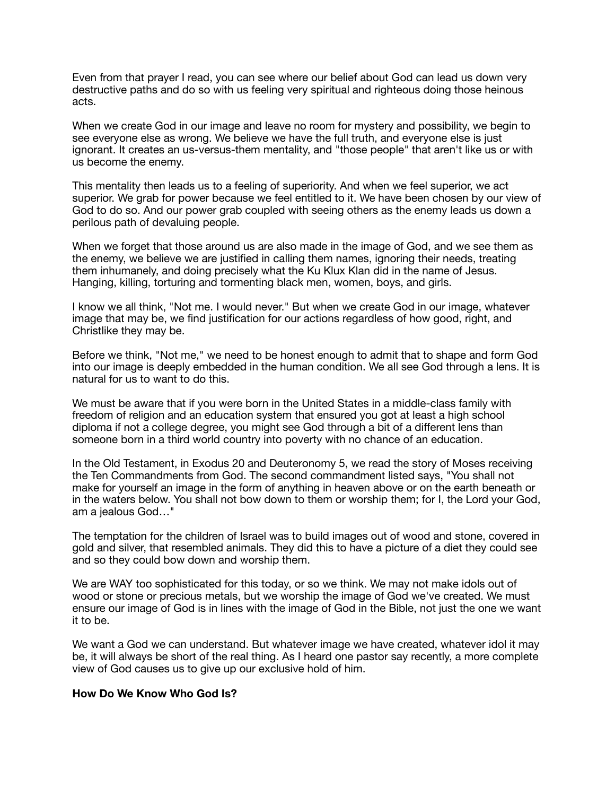Even from that prayer I read, you can see where our belief about God can lead us down very destructive paths and do so with us feeling very spiritual and righteous doing those heinous acts.

When we create God in our image and leave no room for mystery and possibility, we begin to see everyone else as wrong. We believe we have the full truth, and everyone else is just ignorant. It creates an us-versus-them mentality, and "those people" that aren't like us or with us become the enemy.

This mentality then leads us to a feeling of superiority. And when we feel superior, we act superior. We grab for power because we feel entitled to it. We have been chosen by our view of God to do so. And our power grab coupled with seeing others as the enemy leads us down a perilous path of devaluing people.

When we forget that those around us are also made in the image of God, and we see them as the enemy, we believe we are justified in calling them names, ignoring their needs, treating them inhumanely, and doing precisely what the Ku Klux Klan did in the name of Jesus. Hanging, killing, torturing and tormenting black men, women, boys, and girls.

I know we all think, "Not me. I would never." But when we create God in our image, whatever image that may be, we find justification for our actions regardless of how good, right, and Christlike they may be.

Before we think, "Not me," we need to be honest enough to admit that to shape and form God into our image is deeply embedded in the human condition. We all see God through a lens. It is natural for us to want to do this.

We must be aware that if you were born in the United States in a middle-class family with freedom of religion and an education system that ensured you got at least a high school diploma if not a college degree, you might see God through a bit of a different lens than someone born in a third world country into poverty with no chance of an education.

In the Old Testament, in Exodus 20 and Deuteronomy 5, we read the story of Moses receiving the Ten Commandments from God. The second commandment listed says, "You shall not make for yourself an image in the form of anything in heaven above or on the earth beneath or in the waters below. You shall not bow down to them or worship them; for I, the Lord your God, am a jealous God…"

The temptation for the children of Israel was to build images out of wood and stone, covered in gold and silver, that resembled animals. They did this to have a picture of a diet they could see and so they could bow down and worship them.

We are WAY too sophisticated for this today, or so we think. We may not make idols out of wood or stone or precious metals, but we worship the image of God we've created. We must ensure our image of God is in lines with the image of God in the Bible, not just the one we want it to be.

We want a God we can understand. But whatever image we have created, whatever idol it may be, it will always be short of the real thing. As I heard one pastor say recently, a more complete view of God causes us to give up our exclusive hold of him.

## **How Do We Know Who God Is?**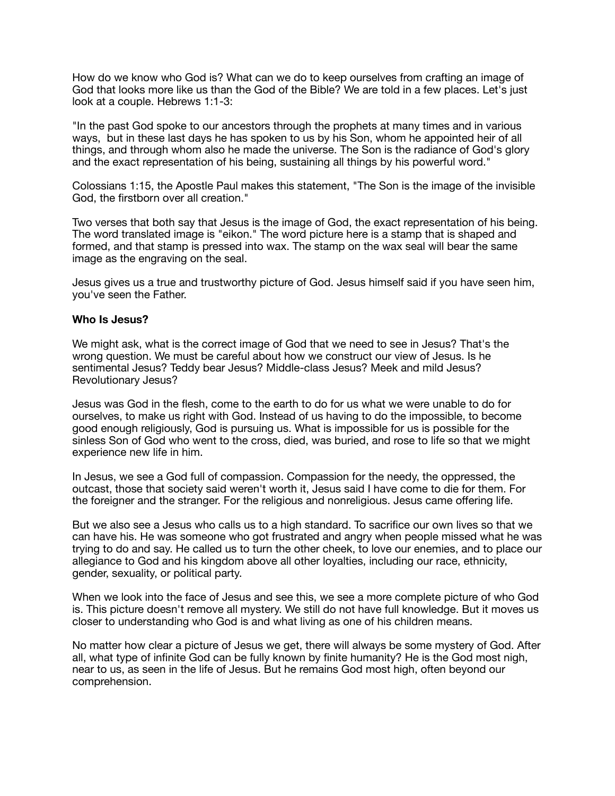How do we know who God is? What can we do to keep ourselves from crafting an image of God that looks more like us than the God of the Bible? We are told in a few places. Let's just look at a couple. Hebrews 1:1-3:

"In the past God spoke to our ancestors through the prophets at many times and in various ways, but in these last days he has spoken to us by his Son, whom he appointed heir of all things, and through whom also he made the universe. The Son is the radiance of God's glory and the exact representation of his being, sustaining all things by his powerful word."

Colossians 1:15, the Apostle Paul makes this statement, "The Son is the image of the invisible God, the firstborn over all creation."

Two verses that both say that Jesus is the image of God, the exact representation of his being. The word translated image is "eikon." The word picture here is a stamp that is shaped and formed, and that stamp is pressed into wax. The stamp on the wax seal will bear the same image as the engraving on the seal.

Jesus gives us a true and trustworthy picture of God. Jesus himself said if you have seen him, you've seen the Father.

## **Who Is Jesus?**

We might ask, what is the correct image of God that we need to see in Jesus? That's the wrong question. We must be careful about how we construct our view of Jesus. Is he sentimental Jesus? Teddy bear Jesus? Middle-class Jesus? Meek and mild Jesus? Revolutionary Jesus?

Jesus was God in the flesh, come to the earth to do for us what we were unable to do for ourselves, to make us right with God. Instead of us having to do the impossible, to become good enough religiously, God is pursuing us. What is impossible for us is possible for the sinless Son of God who went to the cross, died, was buried, and rose to life so that we might experience new life in him.

In Jesus, we see a God full of compassion. Compassion for the needy, the oppressed, the outcast, those that society said weren't worth it, Jesus said I have come to die for them. For the foreigner and the stranger. For the religious and nonreligious. Jesus came offering life.

But we also see a Jesus who calls us to a high standard. To sacrifice our own lives so that we can have his. He was someone who got frustrated and angry when people missed what he was trying to do and say. He called us to turn the other cheek, to love our enemies, and to place our allegiance to God and his kingdom above all other loyalties, including our race, ethnicity, gender, sexuality, or political party.

When we look into the face of Jesus and see this, we see a more complete picture of who God is. This picture doesn't remove all mystery. We still do not have full knowledge. But it moves us closer to understanding who God is and what living as one of his children means.

No matter how clear a picture of Jesus we get, there will always be some mystery of God. After all, what type of infinite God can be fully known by finite humanity? He is the God most nigh, near to us, as seen in the life of Jesus. But he remains God most high, often beyond our comprehension.